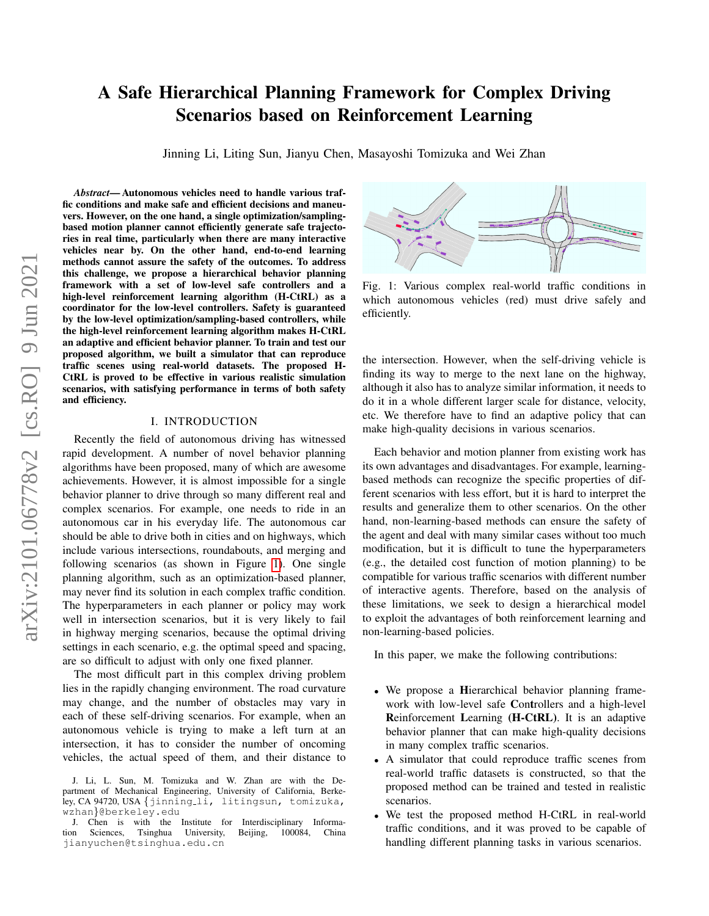# A Safe Hierarchical Planning Framework for Complex Driving Scenarios based on Reinforcement Learning

Jinning Li, Liting Sun, Jianyu Chen, Masayoshi Tomizuka and Wei Zhan

*Abstract*— Autonomous vehicles need to handle various traffic conditions and make safe and efficient decisions and maneuvers. However, on the one hand, a single optimization/samplingbased motion planner cannot efficiently generate safe trajectories in real time, particularly when there are many interactive vehicles near by. On the other hand, end-to-end learning methods cannot assure the safety of the outcomes. To address this challenge, we propose a hierarchical behavior planning framework with a set of low-level safe controllers and a high-level reinforcement learning algorithm (H-CtRL) as a coordinator for the low-level controllers. Safety is guaranteed by the low-level optimization/sampling-based controllers, while the high-level reinforcement learning algorithm makes H-CtRL an adaptive and efficient behavior planner. To train and test our proposed algorithm, we built a simulator that can reproduce traffic scenes using real-world datasets. The proposed H-CtRL is proved to be effective in various realistic simulation scenarios, with satisfying performance in terms of both safety and efficiency.

## I. INTRODUCTION

Recently the field of autonomous driving has witnessed rapid development. A number of novel behavior planning algorithms have been proposed, many of which are awesome achievements. However, it is almost impossible for a single behavior planner to drive through so many different real and complex scenarios. For example, one needs to ride in an autonomous car in his everyday life. The autonomous car should be able to drive both in cities and on highways, which include various intersections, roundabouts, and merging and following scenarios (as shown in Figure [1\)](#page-0-0). One single planning algorithm, such as an optimization-based planner, may never find its solution in each complex traffic condition. The hyperparameters in each planner or policy may work well in intersection scenarios, but it is very likely to fail in highway merging scenarios, because the optimal driving settings in each scenario, e.g. the optimal speed and spacing, are so difficult to adjust with only one fixed planner.

The most difficult part in this complex driving problem lies in the rapidly changing environment. The road curvature may change, and the number of obstacles may vary in each of these self-driving scenarios. For example, when an autonomous vehicle is trying to make a left turn at an intersection, it has to consider the number of oncoming vehicles, the actual speed of them, and their distance to

<span id="page-0-0"></span>

Fig. 1: Various complex real-world traffic conditions in which autonomous vehicles (red) must drive safely and efficiently.

the intersection. However, when the self-driving vehicle is finding its way to merge to the next lane on the highway, although it also has to analyze similar information, it needs to do it in a whole different larger scale for distance, velocity, etc. We therefore have to find an adaptive policy that can make high-quality decisions in various scenarios.

Each behavior and motion planner from existing work has its own advantages and disadvantages. For example, learningbased methods can recognize the specific properties of different scenarios with less effort, but it is hard to interpret the results and generalize them to other scenarios. On the other hand, non-learning-based methods can ensure the safety of the agent and deal with many similar cases without too much modification, but it is difficult to tune the hyperparameters (e.g., the detailed cost function of motion planning) to be compatible for various traffic scenarios with different number of interactive agents. Therefore, based on the analysis of these limitations, we seek to design a hierarchical model to exploit the advantages of both reinforcement learning and non-learning-based policies.

In this paper, we make the following contributions:

- We propose a **H**ierarchical behavior planning framework with low-level safe Controllers and a high-level Reinforcement Learning (H-CtRL). It is an adaptive behavior planner that can make high-quality decisions in many complex traffic scenarios.
- A simulator that could reproduce traffic scenes from real-world traffic datasets is constructed, so that the proposed method can be trained and tested in realistic scenarios.
- We test the proposed method H-CtRL in real-world traffic conditions, and it was proved to be capable of handling different planning tasks in various scenarios.

J. Li, L. Sun, M. Tomizuka and W. Zhan are with the Department of Mechanical Engineering, University of California, Berkeley, CA 94720, USA {jinning li, litingsun, tomizuka, wzhan}@berkeley.edu

J. Chen is with the Institute for Interdisciplinary Information Sciences, Tsinghua University, Beijing, 100084, China jianyuchen@tsinghua.edu.cn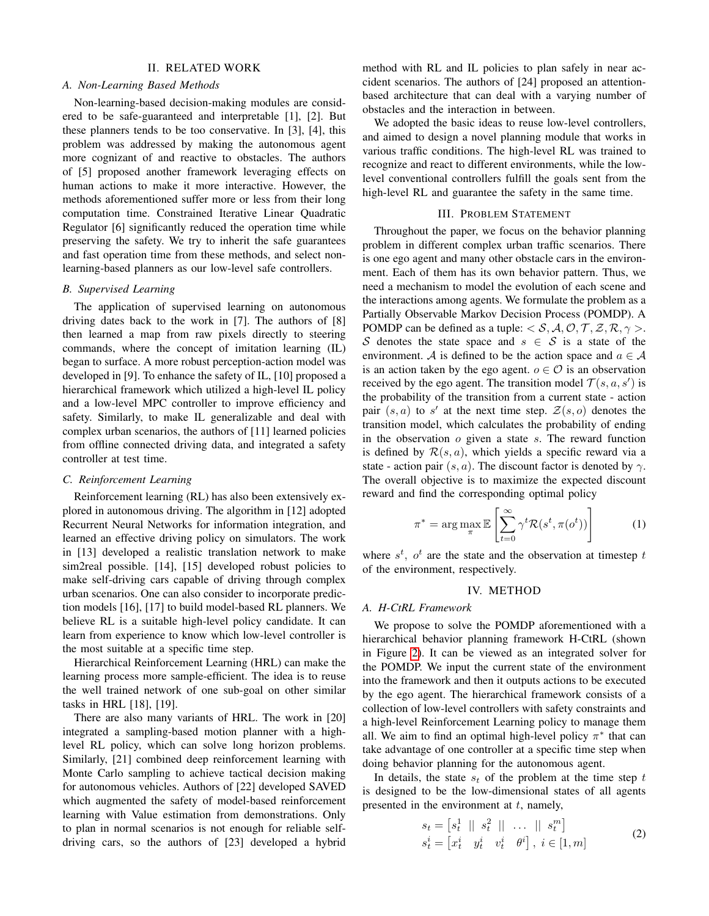# II. RELATED WORK

# *A. Non-Learning Based Methods*

Non-learning-based decision-making modules are considered to be safe-guaranteed and interpretable [1], [2]. But these planners tends to be too conservative. In [3], [4], this problem was addressed by making the autonomous agent more cognizant of and reactive to obstacles. The authors of [5] proposed another framework leveraging effects on human actions to make it more interactive. However, the methods aforementioned suffer more or less from their long computation time. Constrained Iterative Linear Quadratic Regulator [6] significantly reduced the operation time while preserving the safety. We try to inherit the safe guarantees and fast operation time from these methods, and select nonlearning-based planners as our low-level safe controllers.

#### *B. Supervised Learning*

The application of supervised learning on autonomous driving dates back to the work in [7]. The authors of [8] then learned a map from raw pixels directly to steering commands, where the concept of imitation learning (IL) began to surface. A more robust perception-action model was developed in [9]. To enhance the safety of IL, [10] proposed a hierarchical framework which utilized a high-level IL policy and a low-level MPC controller to improve efficiency and safety. Similarly, to make IL generalizable and deal with complex urban scenarios, the authors of [11] learned policies from offline connected driving data, and integrated a safety controller at test time.

# *C. Reinforcement Learning*

Reinforcement learning (RL) has also been extensively explored in autonomous driving. The algorithm in [12] adopted Recurrent Neural Networks for information integration, and learned an effective driving policy on simulators. The work in [13] developed a realistic translation network to make sim2real possible. [14], [15] developed robust policies to make self-driving cars capable of driving through complex urban scenarios. One can also consider to incorporate prediction models [16], [17] to build model-based RL planners. We believe RL is a suitable high-level policy candidate. It can learn from experience to know which low-level controller is the most suitable at a specific time step.

Hierarchical Reinforcement Learning (HRL) can make the learning process more sample-efficient. The idea is to reuse the well trained network of one sub-goal on other similar tasks in HRL [18], [19].

There are also many variants of HRL. The work in [20] integrated a sampling-based motion planner with a highlevel RL policy, which can solve long horizon problems. Similarly, [21] combined deep reinforcement learning with Monte Carlo sampling to achieve tactical decision making for autonomous vehicles. Authors of [22] developed SAVED which augmented the safety of model-based reinforcement learning with Value estimation from demonstrations. Only to plan in normal scenarios is not enough for reliable selfdriving cars, so the authors of [23] developed a hybrid method with RL and IL policies to plan safely in near accident scenarios. The authors of [24] proposed an attentionbased architecture that can deal with a varying number of obstacles and the interaction in between.

We adopted the basic ideas to reuse low-level controllers, and aimed to design a novel planning module that works in various traffic conditions. The high-level RL was trained to recognize and react to different environments, while the lowlevel conventional controllers fulfill the goals sent from the high-level RL and guarantee the safety in the same time.

# III. PROBLEM STATEMENT

Throughout the paper, we focus on the behavior planning problem in different complex urban traffic scenarios. There is one ego agent and many other obstacle cars in the environment. Each of them has its own behavior pattern. Thus, we need a mechanism to model the evolution of each scene and the interactions among agents. We formulate the problem as a Partially Observable Markov Decision Process (POMDP). A POMDP can be defined as a tuple:  $\langle S, A, \mathcal{O}, \mathcal{T}, \mathcal{Z}, \mathcal{R}, \gamma \rangle$ . S denotes the state space and  $s \in S$  is a state of the environment. A is defined to be the action space and  $a \in A$ is an action taken by the ego agent.  $o \in \mathcal{O}$  is an observation received by the ego agent. The transition model  $\mathcal{T}(s, a, s')$  is the probability of the transition from a current state - action pair  $(s, a)$  to s' at the next time step.  $\mathcal{Z}(s, o)$  denotes the transition model, which calculates the probability of ending in the observation  $o$  given a state  $s$ . The reward function is defined by  $\mathcal{R}(s, a)$ , which yields a specific reward via a state - action pair  $(s, a)$ . The discount factor is denoted by  $\gamma$ . The overall objective is to maximize the expected discount reward and find the corresponding optimal policy

$$
\pi^* = \arg \max_{\pi} \mathbb{E}\left[\sum_{t=0}^{\infty} \gamma^t \mathcal{R}(s^t, \pi(o^t))\right]
$$
 (1)

where  $s^t$ ,  $o^t$  are the state and the observation at timestep t of the environment, respectively.

# IV. METHOD

#### *A. H-CtRL Framework*

We propose to solve the POMDP aforementioned with a hierarchical behavior planning framework H-CtRL (shown in Figure [2\)](#page-2-0). It can be viewed as an integrated solver for the POMDP. We input the current state of the environment into the framework and then it outputs actions to be executed by the ego agent. The hierarchical framework consists of a collection of low-level controllers with safety constraints and a high-level Reinforcement Learning policy to manage them all. We aim to find an optimal high-level policy  $\pi^*$  that can take advantage of one controller at a specific time step when doing behavior planning for the autonomous agent.

In details, the state  $s_t$  of the problem at the time step t is designed to be the low-dimensional states of all agents presented in the environment at  $t$ , namely,

$$
s_t = \begin{bmatrix} s_t^1 & || & s_t^2 & || & \dots & || & s_t^m \end{bmatrix}
$$
\n
$$
s_t^i = \begin{bmatrix} x_t^i & y_t^i & v_t^i & \theta^i \end{bmatrix}, \ i \in [1, m] \tag{2}
$$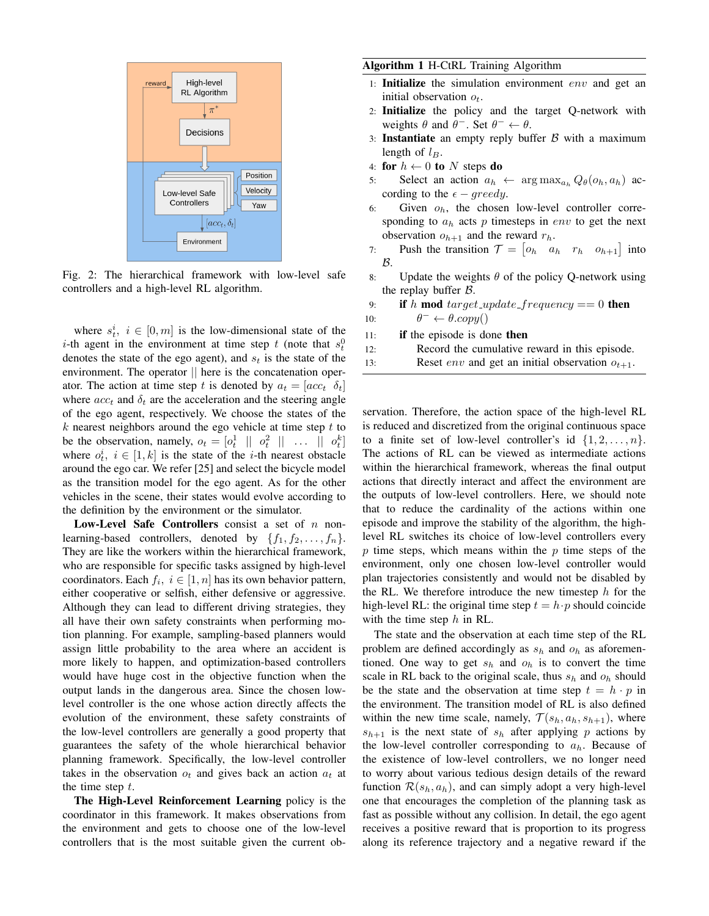<span id="page-2-0"></span>

Fig. 2: The hierarchical framework with low-level safe controllers and a high-level RL algorithm.

where  $s_t^i$ ,  $i \in [0, m]$  is the low-dimensional state of the *i*-th agent in the environment at time step t (note that  $s_t^0$ ) denotes the state of the ego agent), and  $s_t$  is the state of the environment. The operator  $\parallel$  here is the concatenation operator. The action at time step t is denoted by  $a_t = [acc_t \, \delta_t]$ where  $acc_t$  and  $\delta_t$  are the acceleration and the steering angle of the ego agent, respectively. We choose the states of the  $k$  nearest neighbors around the ego vehicle at time step  $t$  to be the observation, namely,  $o_t = \begin{bmatrix} o_t^1 & || & o_t^2 & || & \dots & || & o_t^k \end{bmatrix}$ where  $o_t^i$ ,  $i \in [1, k]$  is the state of the *i*-th nearest obstacle around the ego car. We refer [25] and select the bicycle model as the transition model for the ego agent. As for the other vehicles in the scene, their states would evolve according to the definition by the environment or the simulator.

**Low-Level Safe Controllers** consist a set of  $n$  nonlearning-based controllers, denoted by  $\{f_1, f_2, \ldots, f_n\}$ . They are like the workers within the hierarchical framework, who are responsible for specific tasks assigned by high-level coordinators. Each  $f_i$ ,  $i \in [1, n]$  has its own behavior pattern, either cooperative or selfish, either defensive or aggressive. Although they can lead to different driving strategies, they all have their own safety constraints when performing motion planning. For example, sampling-based planners would assign little probability to the area where an accident is more likely to happen, and optimization-based controllers would have huge cost in the objective function when the output lands in the dangerous area. Since the chosen lowlevel controller is the one whose action directly affects the evolution of the environment, these safety constraints of the low-level controllers are generally a good property that guarantees the safety of the whole hierarchical behavior planning framework. Specifically, the low-level controller takes in the observation  $o_t$  and gives back an action  $a_t$  at the time step  $t$ .

The High-Level Reinforcement Learning policy is the coordinator in this framework. It makes observations from the environment and gets to choose one of the low-level controllers that is the most suitable given the current ob-

# <span id="page-2-1"></span>Algorithm 1 H-CtRL Training Algorithm

- 1: Initialize the simulation environment env and get an initial observation  $o_t$ .
- 2: Initialize the policy and the target Q-network with weights  $\theta$  and  $\theta^-$ . Set  $\theta^- \leftarrow \theta$ .
- 3: Instantiate an empty reply buffer  $\beta$  with a maximum length of  $l_B$ .
- 4: for  $h \leftarrow 0$  to N steps do
- 5: Select an action  $a_h \leftarrow \arg \max_{a_h} Q_\theta(o_h, a_h)$  according to the  $\epsilon$  – greedy.
- 6: Given  $o_h$ , the chosen low-level controller corresponding to  $a_h$  acts p timesteps in env to get the next observation  $o_{h+1}$  and the reward  $r_h$ .
- 7: Push the transition  $\mathcal{T} = \begin{bmatrix} o_h & a_h & r_h & o_{h+1} \end{bmatrix}$  into B.
- 8: Update the weights  $\theta$  of the policy Q-network using the replay buffer  $B$ .
- 9: if h mod target\_update\_frequency == 0 then 10:  $\theta^- \leftarrow \theta.copy()$
- 11: if the episode is done then 12: Record the cumulative reward in this episode.
- 13: Reset *env* and get an initial observation  $o_{t+1}$ .
- 

servation. Therefore, the action space of the high-level RL is reduced and discretized from the original continuous space to a finite set of low-level controller's id  $\{1, 2, \ldots, n\}$ . The actions of RL can be viewed as intermediate actions within the hierarchical framework, whereas the final output actions that directly interact and affect the environment are the outputs of low-level controllers. Here, we should note that to reduce the cardinality of the actions within one episode and improve the stability of the algorithm, the highlevel RL switches its choice of low-level controllers every  $p$  time steps, which means within the  $p$  time steps of the environment, only one chosen low-level controller would plan trajectories consistently and would not be disabled by the RL. We therefore introduce the new timestep  $h$  for the high-level RL: the original time step  $t = h \cdot p$  should coincide with the time step  $h$  in RL.

The state and the observation at each time step of the RL problem are defined accordingly as  $s_h$  and  $o_h$  as aforementioned. One way to get  $s_h$  and  $o_h$  is to convert the time scale in RL back to the original scale, thus  $s_h$  and  $o_h$  should be the state and the observation at time step  $t = h \cdot p$  in the environment. The transition model of RL is also defined within the new time scale, namely,  $\mathcal{T}(s_h, a_h, s_{h+1})$ , where  $s_{h+1}$  is the next state of  $s_h$  after applying p actions by the low-level controller corresponding to  $a_h$ . Because of the existence of low-level controllers, we no longer need to worry about various tedious design details of the reward function  $\mathcal{R}(s_h, a_h)$ , and can simply adopt a very high-level one that encourages the completion of the planning task as fast as possible without any collision. In detail, the ego agent receives a positive reward that is proportion to its progress along its reference trajectory and a negative reward if the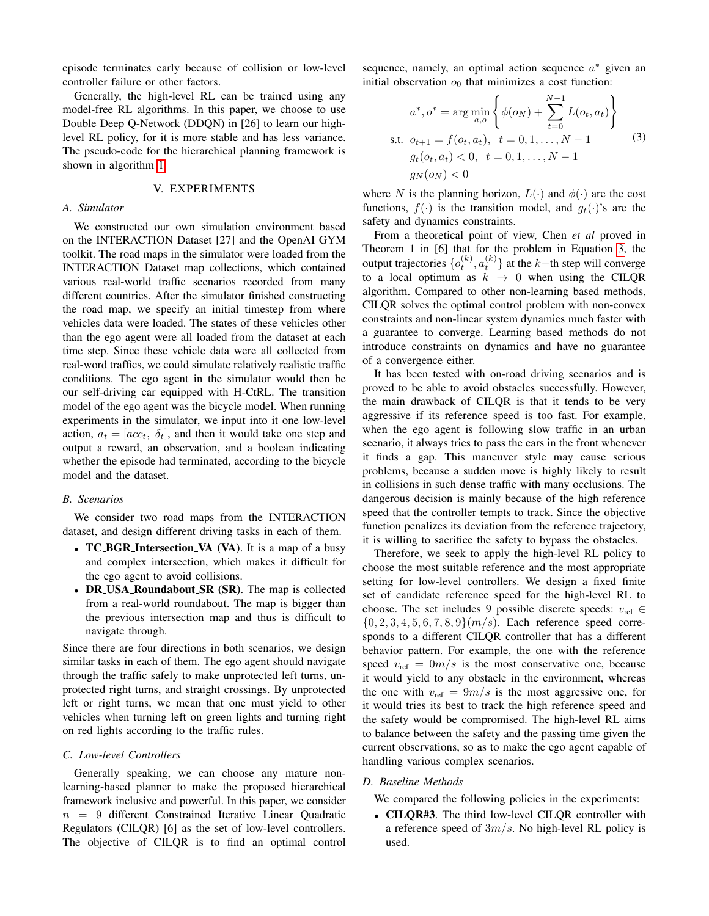episode terminates early because of collision or low-level controller failure or other factors.

Generally, the high-level RL can be trained using any model-free RL algorithms. In this paper, we choose to use Double Deep Q-Network (DDQN) in [26] to learn our highlevel RL policy, for it is more stable and has less variance. The pseudo-code for the hierarchical planning framework is shown in algorithm [1.](#page-2-1)

# V. EXPERIMENTS

# *A. Simulator*

We constructed our own simulation environment based on the INTERACTION Dataset [27] and the OpenAI GYM toolkit. The road maps in the simulator were loaded from the INTERACTION Dataset map collections, which contained various real-world traffic scenarios recorded from many different countries. After the simulator finished constructing the road map, we specify an initial timestep from where vehicles data were loaded. The states of these vehicles other than the ego agent were all loaded from the dataset at each time step. Since these vehicle data were all collected from real-word traffics, we could simulate relatively realistic traffic conditions. The ego agent in the simulator would then be our self-driving car equipped with H-CtRL. The transition model of the ego agent was the bicycle model. When running experiments in the simulator, we input into it one low-level action,  $a_t = [acc_t, \delta_t]$ , and then it would take one step and output a reward, an observation, and a boolean indicating whether the episode had terminated, according to the bicycle model and the dataset.

#### *B. Scenarios*

We consider two road maps from the INTERACTION dataset, and design different driving tasks in each of them.

- TC\_BGR\_Intersection\_VA (VA). It is a map of a busy and complex intersection, which makes it difficult for the ego agent to avoid collisions.
- DR\_USA\_Roundabout\_SR (SR). The map is collected from a real-world roundabout. The map is bigger than the previous intersection map and thus is difficult to navigate through.

Since there are four directions in both scenarios, we design similar tasks in each of them. The ego agent should navigate through the traffic safely to make unprotected left turns, unprotected right turns, and straight crossings. By unprotected left or right turns, we mean that one must yield to other vehicles when turning left on green lights and turning right on red lights according to the traffic rules.

# *C. Low-level Controllers*

Generally speaking, we can choose any mature nonlearning-based planner to make the proposed hierarchical framework inclusive and powerful. In this paper, we consider  $n = 9$  different Constrained Iterative Linear Quadratic Regulators (CILQR) [6] as the set of low-level controllers. The objective of CILQR is to find an optimal control

sequence, namely, an optimal action sequence  $a^*$  given an initial observation  $o_0$  that minimizes a cost function:

<span id="page-3-0"></span>
$$
a^*, o^* = \arg\min_{a,o} \left\{ \phi(o_N) + \sum_{t=0}^{N-1} L(o_t, a_t) \right\}
$$
  
s.t.  $o_{t+1} = f(o_t, a_t), t = 0, 1, ..., N - 1$   
 $g_t(o_t, a_t) < 0, t = 0, 1, ..., N - 1$   
 $g_N(o_N) < 0$  (3)

where N is the planning horizon,  $L(\cdot)$  and  $\phi(\cdot)$  are the cost functions,  $f(\cdot)$  is the transition model, and  $g_t(\cdot)$ 's are the safety and dynamics constraints.

From a theoretical point of view, Chen *et al* proved in Theorem 1 in [6] that for the problem in Equation [3,](#page-3-0) the output trajectories  $\{o_t^{(k)}, a_t^{(k)}\}$  at the k–th step will converge to a local optimum as  $k \rightarrow 0$  when using the CILQR algorithm. Compared to other non-learning based methods, CILQR solves the optimal control problem with non-convex constraints and non-linear system dynamics much faster with a guarantee to converge. Learning based methods do not introduce constraints on dynamics and have no guarantee of a convergence either.

It has been tested with on-road driving scenarios and is proved to be able to avoid obstacles successfully. However, the main drawback of CILQR is that it tends to be very aggressive if its reference speed is too fast. For example, when the ego agent is following slow traffic in an urban scenario, it always tries to pass the cars in the front whenever it finds a gap. This maneuver style may cause serious problems, because a sudden move is highly likely to result in collisions in such dense traffic with many occlusions. The dangerous decision is mainly because of the high reference speed that the controller tempts to track. Since the objective function penalizes its deviation from the reference trajectory, it is willing to sacrifice the safety to bypass the obstacles.

Therefore, we seek to apply the high-level RL policy to choose the most suitable reference and the most appropriate setting for low-level controllers. We design a fixed finite set of candidate reference speed for the high-level RL to choose. The set includes 9 possible discrete speeds:  $v_{ref} \in$  ${0, 2, 3, 4, 5, 6, 7, 8, 9}$  (m/s). Each reference speed corresponds to a different CILQR controller that has a different behavior pattern. For example, the one with the reference speed  $v_{\text{ref}} = \frac{0m}{s}$  is the most conservative one, because it would yield to any obstacle in the environment, whereas the one with  $v_{ref} = 9m/s$  is the most aggressive one, for it would tries its best to track the high reference speed and the safety would be compromised. The high-level RL aims to balance between the safety and the passing time given the current observations, so as to make the ego agent capable of handling various complex scenarios.

# *D. Baseline Methods*

We compared the following policies in the experiments:

• CILQR#3. The third low-level CILQR controller with a reference speed of  $3m/s$ . No high-level RL policy is used.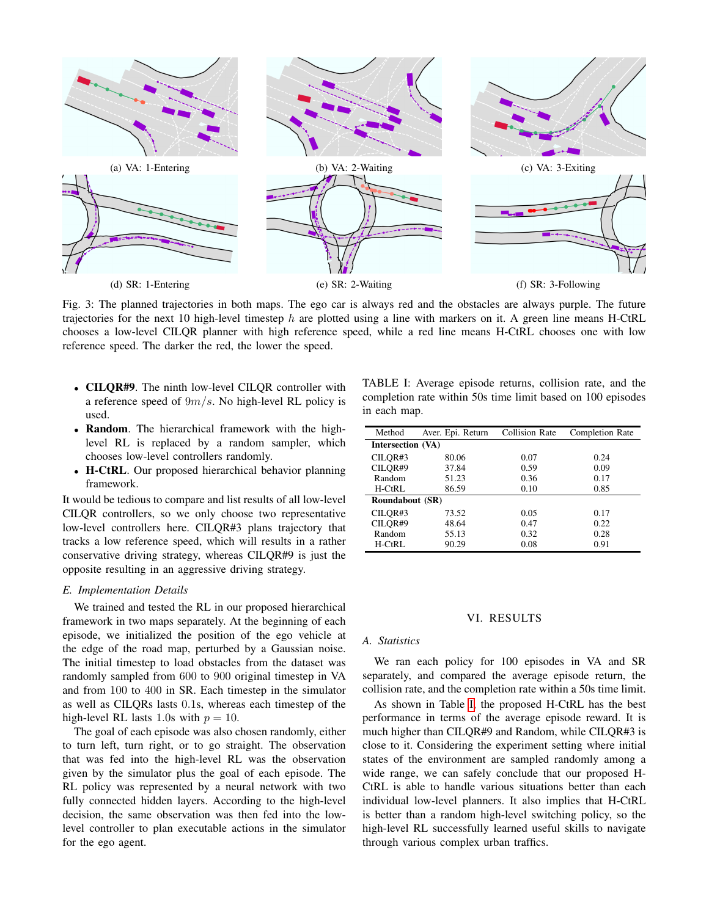<span id="page-4-1"></span>

Fig. 3: The planned trajectories in both maps. The ego car is always red and the obstacles are always purple. The future trajectories for the next 10 high-level timestep  $h$  are plotted using a line with markers on it. A green line means H-CtRL chooses a low-level CILQR planner with high reference speed, while a red line means H-CtRL chooses one with low reference speed. The darker the red, the lower the speed.

- CILQR#9. The ninth low-level CILQR controller with a reference speed of  $9m/s$ . No high-level RL policy is used.
- Random. The hierarchical framework with the highlevel RL is replaced by a random sampler, which chooses low-level controllers randomly.
- H-CtRL. Our proposed hierarchical behavior planning framework.

It would be tedious to compare and list results of all low-level CILQR controllers, so we only choose two representative low-level controllers here. CILQR#3 plans trajectory that tracks a low reference speed, which will results in a rather conservative driving strategy, whereas CILQR#9 is just the opposite resulting in an aggressive driving strategy.

## *E. Implementation Details*

We trained and tested the RL in our proposed hierarchical framework in two maps separately. At the beginning of each episode, we initialized the position of the ego vehicle at the edge of the road map, perturbed by a Gaussian noise. The initial timestep to load obstacles from the dataset was randomly sampled from 600 to 900 original timestep in VA and from 100 to 400 in SR. Each timestep in the simulator as well as CILQRs lasts 0.1s, whereas each timestep of the high-level RL lasts 1.0s with  $p = 10$ .

The goal of each episode was also chosen randomly, either to turn left, turn right, or to go straight. The observation that was fed into the high-level RL was the observation given by the simulator plus the goal of each episode. The RL policy was represented by a neural network with two fully connected hidden layers. According to the high-level decision, the same observation was then fed into the lowlevel controller to plan executable actions in the simulator for the ego agent.

<span id="page-4-0"></span>TABLE I: Average episode returns, collision rate, and the completion rate within 50s time limit based on 100 episodes in each map.

| Method                 | Aver. Epi. Return | <b>Collision Rate</b> | Completion Rate |
|------------------------|-------------------|-----------------------|-----------------|
| Intersection (VA)      |                   |                       |                 |
| CILOR#3                | 80.06             | 0.07                  | 0.24            |
| CILOR#9                | 37.84             | 0.59                  | 0.09            |
| Random                 | 51.23             | 0.36                  | 0.17            |
| $H-CtRI.$              | 86.59             | 0.10                  | 0.85            |
| <b>Roundabout (SR)</b> |                   |                       |                 |
| CILOR#3                | 73.52             | 0.05                  | 0.17            |
| CILOR#9                | 48.64             | 0.47                  | 0.22            |
| Random                 | 55.13             | 0.32                  | 0.28            |
| H-CtRL                 | 90.29             | 0.08                  | 0.91            |

# VI. RESULTS

# *A. Statistics*

We ran each policy for 100 episodes in VA and SR separately, and compared the average episode return, the collision rate, and the completion rate within a 50s time limit.

As shown in Table [I,](#page-4-0) the proposed H-CtRL has the best performance in terms of the average episode reward. It is much higher than CILQR#9 and Random, while CILQR#3 is close to it. Considering the experiment setting where initial states of the environment are sampled randomly among a wide range, we can safely conclude that our proposed H-CtRL is able to handle various situations better than each individual low-level planners. It also implies that H-CtRL is better than a random high-level switching policy, so the high-level RL successfully learned useful skills to navigate through various complex urban traffics.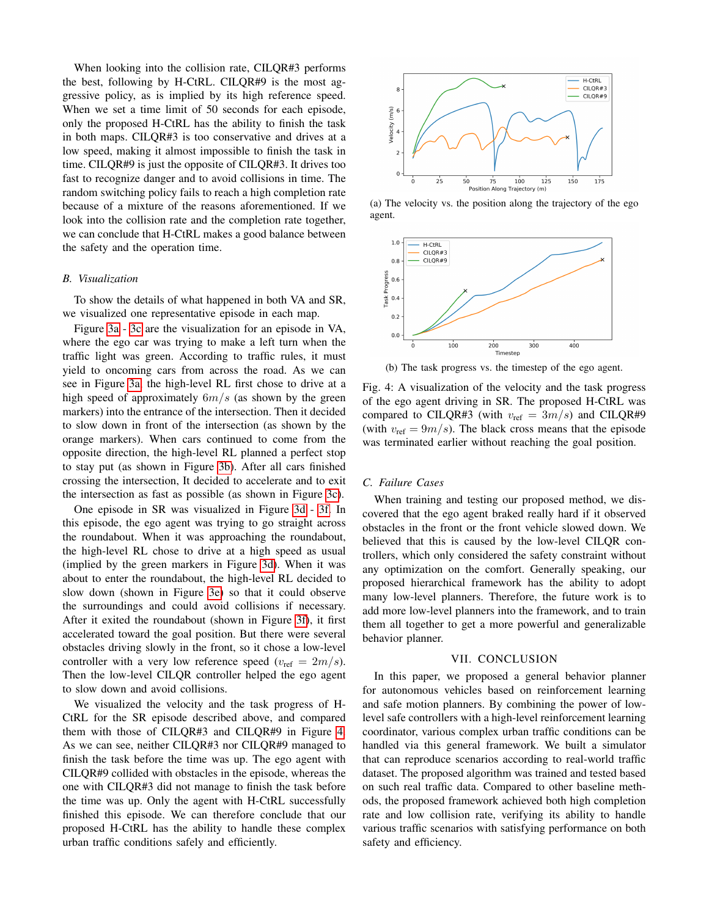When looking into the collision rate, CILQR#3 performs the best, following by H-CtRL. CILQR#9 is the most aggressive policy, as is implied by its high reference speed. When we set a time limit of 50 seconds for each episode, only the proposed H-CtRL has the ability to finish the task in both maps. CILQR#3 is too conservative and drives at a low speed, making it almost impossible to finish the task in time. CILQR#9 is just the opposite of CILQR#3. It drives too fast to recognize danger and to avoid collisions in time. The random switching policy fails to reach a high completion rate because of a mixture of the reasons aforementioned. If we look into the collision rate and the completion rate together, we can conclude that H-CtRL makes a good balance between the safety and the operation time.

## *B. Visualization*

To show the details of what happened in both VA and SR, we visualized one representative episode in each map.

Figure [3a](#page-4-1) - [3c](#page-4-1) are the visualization for an episode in VA, where the ego car was trying to make a left turn when the traffic light was green. According to traffic rules, it must yield to oncoming cars from across the road. As we can see in Figure [3a,](#page-4-1) the high-level RL first chose to drive at a high speed of approximately  $6m/s$  (as shown by the green markers) into the entrance of the intersection. Then it decided to slow down in front of the intersection (as shown by the orange markers). When cars continued to come from the opposite direction, the high-level RL planned a perfect stop to stay put (as shown in Figure [3b\)](#page-4-1). After all cars finished crossing the intersection, It decided to accelerate and to exit the intersection as fast as possible (as shown in Figure [3c\)](#page-4-1).

One episode in SR was visualized in Figure [3d](#page-4-1) - [3f.](#page-4-1) In this episode, the ego agent was trying to go straight across the roundabout. When it was approaching the roundabout, the high-level RL chose to drive at a high speed as usual (implied by the green markers in Figure [3d\)](#page-4-1). When it was about to enter the roundabout, the high-level RL decided to slow down (shown in Figure [3e\)](#page-4-1) so that it could observe the surroundings and could avoid collisions if necessary. After it exited the roundabout (shown in Figure [3f\)](#page-4-1), it first accelerated toward the goal position. But there were several obstacles driving slowly in the front, so it chose a low-level controller with a very low reference speed ( $v_{\text{ref}} = 2m/s$ ). Then the low-level CILQR controller helped the ego agent to slow down and avoid collisions.

We visualized the velocity and the task progress of H-CtRL for the SR episode described above, and compared them with those of CILQR#3 and CILQR#9 in Figure [4.](#page-5-0) As we can see, neither CILQR#3 nor CILQR#9 managed to finish the task before the time was up. The ego agent with CILQR#9 collided with obstacles in the episode, whereas the one with CILQR#3 did not manage to finish the task before the time was up. Only the agent with H-CtRL successfully finished this episode. We can therefore conclude that our proposed H-CtRL has the ability to handle these complex urban traffic conditions safely and efficiently.

<span id="page-5-0"></span>

(a) The velocity vs. the position along the trajectory of the ego agent.



(b) The task progress vs. the timestep of the ego agent.

Fig. 4: A visualization of the velocity and the task progress of the ego agent driving in SR. The proposed H-CtRL was compared to CILQR#3 (with  $v_{ref} = 3m/s$ ) and CILQR#9 (with  $v_{\text{ref}} = 9m/s$ ). The black cross means that the episode was terminated earlier without reaching the goal position.

# *C. Failure Cases*

When training and testing our proposed method, we discovered that the ego agent braked really hard if it observed obstacles in the front or the front vehicle slowed down. We believed that this is caused by the low-level CILQR controllers, which only considered the safety constraint without any optimization on the comfort. Generally speaking, our proposed hierarchical framework has the ability to adopt many low-level planners. Therefore, the future work is to add more low-level planners into the framework, and to train them all together to get a more powerful and generalizable behavior planner.

#### VII. CONCLUSION

In this paper, we proposed a general behavior planner for autonomous vehicles based on reinforcement learning and safe motion planners. By combining the power of lowlevel safe controllers with a high-level reinforcement learning coordinator, various complex urban traffic conditions can be handled via this general framework. We built a simulator that can reproduce scenarios according to real-world traffic dataset. The proposed algorithm was trained and tested based on such real traffic data. Compared to other baseline methods, the proposed framework achieved both high completion rate and low collision rate, verifying its ability to handle various traffic scenarios with satisfying performance on both safety and efficiency.